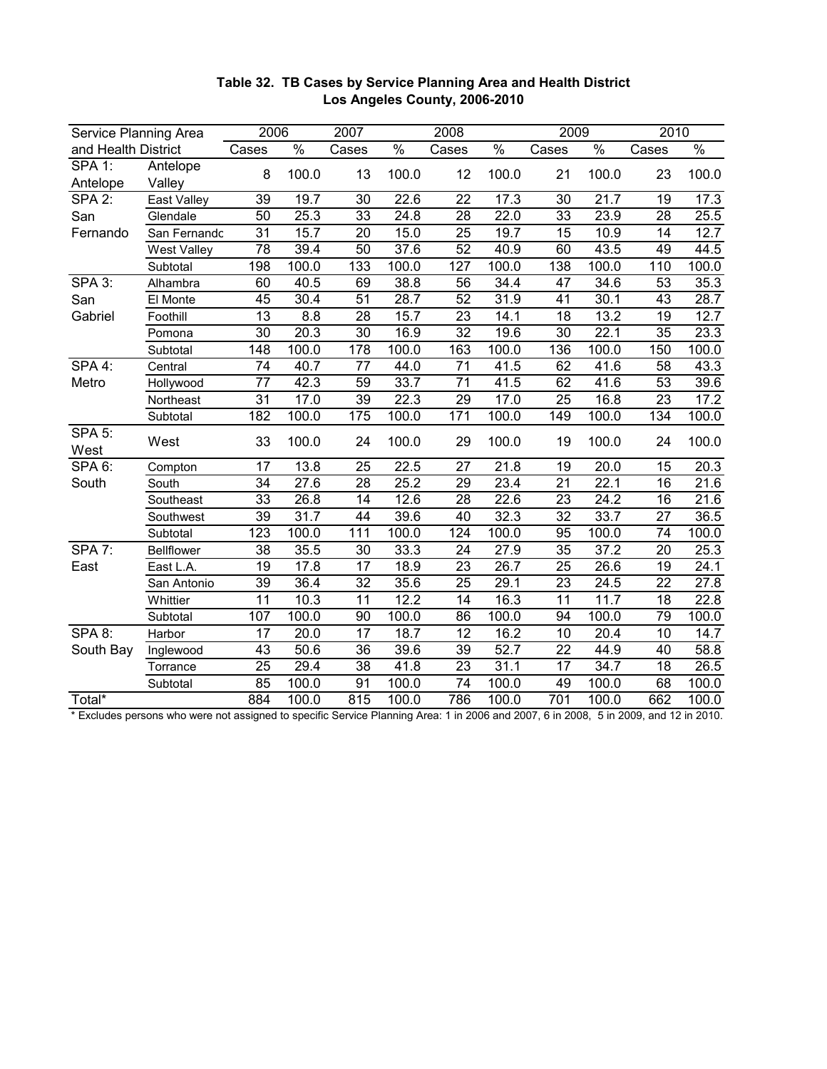| Service Planning Area |                    | 2006            |                   | 2007<br>2008    |               |                 |               | 2009            |               | 2010            |                   |
|-----------------------|--------------------|-----------------|-------------------|-----------------|---------------|-----------------|---------------|-----------------|---------------|-----------------|-------------------|
| and Health District   |                    | Cases           | $\frac{0}{6}$     | Cases           | $\frac{0}{6}$ | Cases           | $\frac{0}{6}$ | Cases           | $\frac{0}{6}$ | Cases           | $\frac{0}{0}$     |
| <b>SPA 1:</b>         | Antelope           | 8               | 100.0             | 13              | 100.0         | 12              | 100.0         | 21              | 100.0         | 23              | 100.0             |
| Antelope              | Valley             |                 |                   |                 |               |                 |               |                 |               |                 |                   |
| SPA 2:                | East Valley        | $\overline{39}$ | 19.7              | $\overline{30}$ | 22.6          | $\overline{22}$ | 17.3          | 30              | 21.7          | 19              | 17.3              |
| San                   | Glendale           | 50              | 25.3              | $\overline{33}$ | 24.8          | $\overline{28}$ | 22.0          | 33              | 23.9          | 28              | 25.5              |
| Fernando              | San Fernandc       | $\overline{31}$ | 15.7              | $\overline{20}$ | 15.0          | $\overline{25}$ | 19.7          | 15              | 10.9          | $\overline{14}$ | 12.7              |
|                       | <b>West Valley</b> | $\overline{78}$ | 39.4              | $\overline{50}$ | 37.6          | $\overline{52}$ | 40.9          | 60              | 43.5          | 49              | 44.5              |
|                       | Subtotal           | 198             | 100.0             | 133             | 100.0         | 127             | 100.0         | 138             | 100.0         | 110             | 100.0             |
| SPA 3:                | Alhambra           | 60              | 40.5              | 69              | 38.8          | 56              | 34.4          | 47              | 34.6          | 53              | $\overline{35.3}$ |
| San                   | El Monte           | 45              | 30.4              | $\overline{51}$ | 28.7          | $\overline{52}$ | 31.9          | 41              | 30.1          | 43              | 28.7              |
| Gabriel               | Foothill           | 13              | 8.8               | $\overline{28}$ | 15.7          | 23              | 14.1          | 18              | 13.2          | 19              | 12.7              |
|                       | Pomona             | 30              | $\overline{20.3}$ | 30              | 16.9          | $\overline{32}$ | 19.6          | 30              | 22.1          | $\overline{35}$ | 23.3              |
|                       | Subtotal           | 148             | 100.0             | 178             | 100.0         | 163             | 100.0         | 136             | 100.0         | 150             | 100.0             |
| SPA 4:                | Central            | 74              | 40.7              | $\overline{77}$ | 44.0          | $\overline{71}$ | 41.5          | 62              | 41.6          | 58              | 43.3              |
| Metro                 | Hollywood          | 77              | 42.3              | 59              | 33.7          | 71              | 41.5          | 62              | 41.6          | 53              | 39.6              |
|                       | Northeast          | 31              | 17.0              | $\overline{39}$ | 22.3          | 29              | 17.0          | 25              | 16.8          | 23              | 17.2              |
|                       | Subtotal           | 182             | 100.0             | 175             | 100.0         | 171             | 100.0         | 149             | 100.0         | 134             | 100.0             |
| <b>SPA 5:</b><br>West | West               | 33              | 100.0             | 24              | 100.0         | 29              | 100.0         | 19              | 100.0         | 24              | 100.0             |
| SPA <sub>6</sub> :    | Compton            | $\overline{17}$ | 13.8              | $\overline{25}$ | 22.5          | 27              | 21.8          | 19              | 20.0          | 15              | 20.3              |
| South                 | South              | 34              | $\overline{27.6}$ | $\overline{28}$ | 25.2          | 29              | 23.4          | 21              | 22.1          | $\overline{16}$ | 21.6              |
|                       | Southeast          | 33              | $\overline{26.8}$ | $\overline{14}$ | 12.6          | $\overline{28}$ | 22.6          | 23              | 24.2          | 16              | 21.6              |
|                       | Southwest          | $\overline{39}$ | $\overline{31.7}$ | 44              | 39.6          | $\overline{40}$ | 32.3          | 32              | 33.7          | $\overline{27}$ | 36.5              |
|                       | Subtotal           | 123             | 100.0             | 111             | 100.0         | 124             | 100.0         | 95              | 100.0         | 74              | 100.0             |
| SPA 7:                | <b>Bellflower</b>  | $\overline{38}$ | 35.5              | $\overline{30}$ | 33.3          | $\overline{24}$ | 27.9          | $\overline{35}$ | 37.2          | $\overline{20}$ | 25.3              |
| East                  | East L.A.          | 19              | 17.8              | $\overline{17}$ | 18.9          | $\overline{23}$ | 26.7          | 25              | 26.6          | 19              | 24.1              |
|                       | San Antonio        | 39              | 36.4              | $\overline{32}$ | 35.6          | $\overline{25}$ | 29.1          | $\overline{23}$ | 24.5          | $\overline{22}$ | 27.8              |
|                       | Whittier           | 11              | 10.3              | 11              | 12.2          | 14              | 16.3          | 11              | 11.7          | $\overline{18}$ | 22.8              |
|                       | Subtotal           | 107             | 100.0             | 90              | 100.0         | 86              | 100.0         | 94              | 100.0         | 79              | 100.0             |
| <b>SPA 8:</b>         | Harbor             | $\overline{17}$ | 20.0              | 17              | 18.7          | $\overline{12}$ | 16.2          | $\overline{10}$ | 20.4          | 10              | 14.7              |
| South Bay             | Inglewood          | 43              | 50.6              | 36              | 39.6          | 39              | 52.7          | $\overline{22}$ | 44.9          | 40              | 58.8              |
|                       | Torrance           | 25              | 29.4              | $\overline{38}$ | 41.8          | 23              | 31.1          | 17              | 34.7          | 18              | 26.5              |
|                       | Subtotal           | 85              | 100.0             | 91              | 100.0         | 74              | 100.0         | 49              | 100.0         | 68              | 100.0             |
| Total*                |                    | 884             | 100.0             | 815             | 100.0         | 786             | 100.0         | 701             | 100.0         | 662             | 100.0             |

## **Table 32. TB Cases by Service Planning Area and Health District Los Angeles County, 2006-2010**

\* Excludes persons who were not assigned to specific Service Planning Area: 1 in 2006 and 2007, 6 in 2008, 5 in 2009, and 12 in 2010.